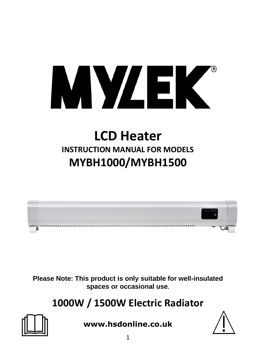

# **LCD Heater INSTRUCTION MANUAL FOR MODELS MYBH1000/MYBH1500**



**Please Note: This product is only suitable for well-insulated spaces or occasional use.**

**1000W / 1500W Electric Radiator** 



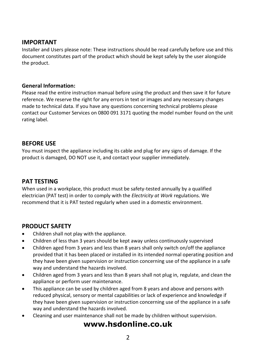#### **IMPORTANT**

Installer and Users please note: These instructions should be read carefully before use and this document constitutes part of the product which should be kept safely by the user alongside the product.

#### **General Information:**

Please read the entire instruction manual before using the product and then save it for future reference. We reserve the right for any errors in text or images and any necessary changes made to technical data. If you have any questions concerning technical problems please contact our Customer Services on 0800 091 3171 quoting the model number found on the unit rating label.

#### **BEFORE USE**

You must inspect the appliance including its cable and plug for any signs of damage. If the product is damaged, DO NOT use it, and contact your supplier immediately.

#### **PAT TESTING**

When used in a workplace, this product must be safety-tested annually by a qualified electrician (PAT test) in order to comply with the *Electricity at Work* regulations. We recommend that it is PAT tested regularly when used in a domestic environment.

#### **PRODUCT SAFETY**

- Children shall not play with the appliance.
- Children of less than 3 years should be kept away unless continuously supervised
- Children aged from 3 years and less than 8 years shall only switch on/off the appliance provided that it has been placed or installed in its intended normal operating position and they have been given supervision or instruction concerning use of the appliance in a safe way and understand the hazards involved.
- Children aged from 3 years and less than 8 years shall not plug in, regulate, and clean the appliance or perform user maintenance.
- This appliance can be used by children aged from 8 years and above and persons with reduced physical, sensory or mental capabilities or lack of experience and knowledge if they have been given supervision or instruction concerning use of the appliance in a safe way and understand the hazards involved.
- Cleaning and user maintenance shall not be made by children without supervision.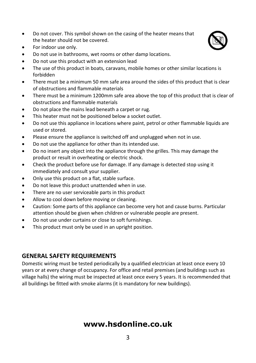- Do not cover. This symbol shown on the casing of the heater means that the heater should not be covered.
- For indoor use only.
- Do not use in bathrooms, wet rooms or other damp locations.
- Do not use this product with an extension lead
- The use of this product in boats, caravans, mobile homes or other similar locations is forbidden
- There must be a minimum 50 mm safe area around the sides of this product that is clear of obstructions and flammable materials
- There must be a minimum 1200mm safe area above the top of this product that is clear of obstructions and flammable materials
- Do not place the mains lead beneath a carpet or rug.
- This heater must not be positioned below a socket outlet.
- Do not use this appliance in locations where paint, petrol or other flammable liquids are used or stored.
- Please ensure the appliance is switched off and unplugged when not in use.
- Do not use the appliance for other than its intended use.
- Do no insert any object into the appliance through the grilles. This may damage the product or result in overheating or electric shock.
- Check the product before use for damage. If any damage is detected stop using it immediately and consult your supplier.
- Only use this product on a flat, stable surface.
- Do not leave this product unattended when in use.
- There are no user serviceable parts in this product
- Allow to cool down before moving or cleaning.
- Caution: Some parts of this appliance can become very hot and cause burns. Particular attention should be given when children or vulnerable people are present.
- Do not use under curtains or close to soft furnishings.
- This product must only be used in an upright position.

#### **GENERAL SAFETY REQUIREMENTS**

Domestic wiring must be tested periodically by a qualified electrician at least once every 10 years or at every change of occupancy. For office and retail premises (and buildings such as village halls) the wiring must be inspected at least once every 5 years. It is recommended that all buildings be fitted with smoke alarms (it is mandatory for new buildings).

# **www.hsdonline.co.uk**

3

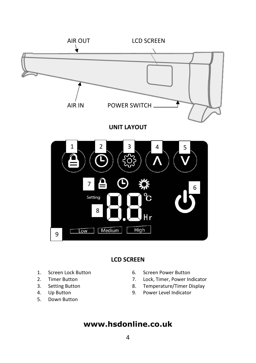

#### **LCD SCREEN**

- 1. Screen Lock Button
- 2. Timer Button
- 3. Setting Button
- 4. Up Button
- 5. Down Button
- 6. Screen Power Button
- 7. Lock, Timer, Power Indicator
- 8. Temperature/Timer Display
- 9. Power Level Indicator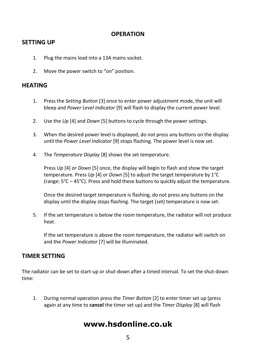#### **OPERATION**

#### **SETTING UP**

- 1. Plug the mains lead into a 13A mains socket.
- 2. Move the power switch to "on" position.

#### **HEATING**

- 1. Press the *Setting Button* [3] once to enter power adjustment mode, the unit will bleep and *Power Level Indicator* [9] will flash to display the current power level.
- 2. Use the *Up* [4] and *Down* [5] buttons to cycle through the power settings.
- 3. When the desired power level is displayed, do not press any buttons on the display until the *Power Level Indicator* [9] stops flashing. The power level is now set.
- 4. The *Temperature Display* [8] shows the set temperature.

Press *Up* [4] or *Down* [5] once, the display will begin to flash and show the target temperature. Press *Up* [4] or *Down* [5] to adjust the target temperature by 1°C (range: 5°C – 45°C). Press and hold these buttons to quickly adjust the temperature.

Once the desired target temperature is flashing, do not press any buttons on the display until the display stops flashing. The target (set) temperature is now set.

5. If the set temperature is below the room temperature, the radiator will not produce heat.

If the set temperature is above the room temperature, the radiator will switch on and the *Power Indicator* [7] will be illuminated.

#### **TIMER SETTING**

The radiator can be set to start-up or shut-down after a timed interval. To set the shut-down time:

1. During normal operation press the *Timer Button* [2] to enter timer set up (press again at any time to **cancel** the timer set up) and the *Timer Display* [8] will flash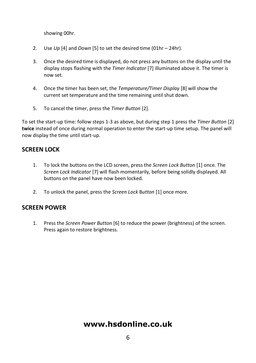showing 00hr.

- 2. Use *Up* [4] and *Down* [5] to set the desired time (01hr 24hr).
- 3. Once the desired time is displayed, do not press any buttons on the display until the display stops flashing with the *Timer Indicator* [7] illuminated above it. The timer is now set.
- 4. Once the timer has been set, the *Temperature/Timer Display* [8] will show the current set temperature and the time remaining until shut down.
- 5. To cancel the timer, press the *Timer Button* [2].

To set the start-up time: follow steps 1-3 as above, but during step 1 press the *Timer Button* [2] **twice** instead of once during normal operation to enter the start-up time setup. The panel will now display the time until start-up.

#### **SCREEN LOCK**

- 1. To lock the buttons on the LCD screen, press the *Screen Lock Button* [1] once. The *Screen Lock Indicator* [7] will flash momentarily, before being solidly displayed. All buttons on the panel have now been locked.
- 2. To unlock the panel, press the *Screen Lock* B*utton* [1] once more.

#### **SCREEN POWER**

1. Press the *Screen Power Button* [6] to reduce the power (brightness) of the screen. Press again to restore brightness.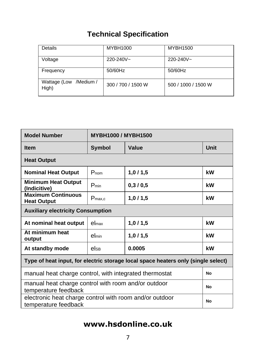# **Technical Specification**

| Details                         | MYBH1000           | MYBH1500            |
|---------------------------------|--------------------|---------------------|
| Voltage                         | $220 - 240V -$     | $220 - 240V -$      |
| Frequency                       | 50/60Hz            | 50/60Hz             |
| Wattage (Low /Medium /<br>High) | 300 / 700 / 1500 W | 500 / 1000 / 1500 W |

| <b>Model Number</b>                                                               | <b>MYBH1000 / MYBH1500</b> |         |      |  |  |
|-----------------------------------------------------------------------------------|----------------------------|---------|------|--|--|
| <b>Item</b>                                                                       | <b>Symbol</b>              | Value   | Unit |  |  |
| <b>Heat Output</b>                                                                |                            |         |      |  |  |
| <b>Nominal Heat Output</b>                                                        | $P_{nom}$                  | 1,0/1,5 | kW   |  |  |
| <b>Minimum Heat Output</b><br>(Indicitive)                                        | $P_{min}$                  | 0,3/0,5 | kW   |  |  |
| <b>Maximum Continuous</b><br><b>Heat Output</b>                                   | $P_{\text{max},c}$         | 1,0/1,5 | kW   |  |  |
| <b>Auxiliary electricity Consumption</b>                                          |                            |         |      |  |  |
| At nominal heat output                                                            | el <sub>max</sub>          | 1,0/1,5 | kW   |  |  |
| At minimum heat<br>output                                                         | elmin                      | 1,0/1,5 | kW   |  |  |
| At standby mode                                                                   | else                       | 0.0005  | kW   |  |  |
| Type of heat input, for electric storage local space heaters only (single select) |                            |         |      |  |  |
| manual heat charge control, with integrated thermostat                            | No                         |         |      |  |  |
| manual heat charge control with room and/or outdoor<br>temperature feedback       | No                         |         |      |  |  |
| electronic heat charge control with room and/or outdoor<br>temperature feedback   |                            |         |      |  |  |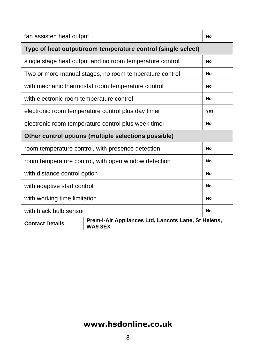| fan assisted heat output                                     |                                                          |    |  |  |
|--------------------------------------------------------------|----------------------------------------------------------|----|--|--|
| Type of heat output/room temperature control (single select) |                                                          |    |  |  |
|                                                              | single stage heat output and no room temperature control | No |  |  |
| Two or more manual stages, no room temperature control       | No                                                       |    |  |  |
| with mechanic thermostat room temperature control            | No                                                       |    |  |  |
| with electronic room temperature control                     | No                                                       |    |  |  |
| electronic room temperature control plus day timer           | Yes                                                      |    |  |  |
| electronic room temperature control plus week timer          | No                                                       |    |  |  |
| Other control options (multiple selections possible)         |                                                          |    |  |  |
|                                                              |                                                          |    |  |  |
|                                                              | room temperature control, with presence detection        | No |  |  |
|                                                              | room temperature control, with open window detection     | No |  |  |
| with distance control option                                 |                                                          | No |  |  |
| with adaptive start control                                  |                                                          | No |  |  |
| with working time limitation                                 |                                                          | No |  |  |
| with black bulb sensor                                       |                                                          | No |  |  |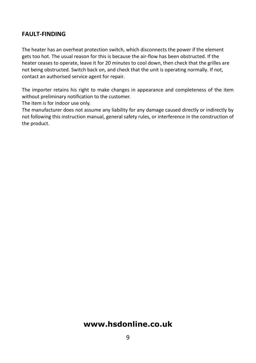#### **FAULT-FINDING**

The heater has an overheat protection switch, which disconnects the power if the element gets too hot. The usual reason for this is because the air-flow has been obstructed. If the heater ceases to operate, leave it for 20 minutes to cool down, then check that the grilles are not being obstructed. Switch back on, and check that the unit is operating normally. If not, contact an authorised service agent for repair.

The importer retains his right to make changes in appearance and completeness of the item without preliminary notification to the customer.

The item is for indoor use only.

The manufacturer does not assume any liability for any damage caused directly or indirectly by not following this instruction manual, general safety rules, or interference in the construction of the product.